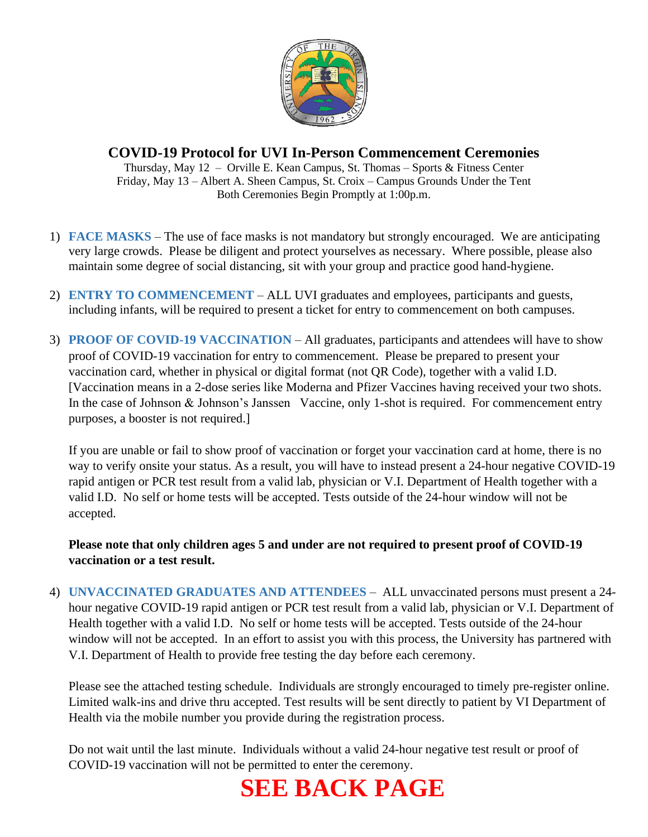

## **COVID-19 Protocol for UVI In-Person Commencement Ceremonies**

Thursday, May 12 – Orville E. Kean Campus, St. Thomas – Sports & Fitness Center Friday, May 13 – Albert A. Sheen Campus, St. Croix – Campus Grounds Under the Tent Both Ceremonies Begin Promptly at 1:00p.m.

- 1) **FACE MASKS** The use of face masks is not mandatory but strongly encouraged. We are anticipating very large crowds. Please be diligent and protect yourselves as necessary. Where possible, please also maintain some degree of social distancing, sit with your group and practice good hand-hygiene.
- 2) **ENTRY TO COMMENCEMENT** ALL UVI graduates and employees, participants and guests, including infants, will be required to present a ticket for entry to commencement on both campuses.
- 3) **PROOF OF COVID-19 VACCINATION** All graduates, participants and attendees will have to show proof of COVID-19 vaccination for entry to commencement. Please be prepared to present your vaccination card, whether in physical or digital format (not QR Code), together with a valid I.D. [Vaccination means in a 2-dose series like Moderna and Pfizer Vaccines having received your two shots. In the case of Johnson & Johnson's Janssen Vaccine, only 1-shot is required. For commencement entry purposes, a booster is not required.]

If you are unable or fail to show proof of vaccination or forget your vaccination card at home, there is no way to verify onsite your status. As a result, you will have to instead present a 24-hour negative COVID-19 rapid antigen or PCR test result from a valid lab, physician or V.I. Department of Health together with a valid I.D. No self or home tests will be accepted. Tests outside of the 24-hour window will not be accepted.

**Please note that only children ages 5 and under are not required to present proof of COVID-19 vaccination or a test result.**

4) **UNVACCINATED GRADUATES AND ATTENDEES** – ALL unvaccinated persons must present a 24 hour negative COVID-19 rapid antigen or PCR test result from a valid lab, physician or V.I. Department of Health together with a valid I.D. No self or home tests will be accepted. Tests outside of the 24-hour window will not be accepted. In an effort to assist you with this process, the University has partnered with V.I. Department of Health to provide free testing the day before each ceremony.

Please see the attached testing schedule. Individuals are strongly encouraged to timely pre-register online. Limited walk-ins and drive thru accepted. Test results will be sent directly to patient by VI Department of Health via the mobile number you provide during the registration process.

Do not wait until the last minute. Individuals without a valid 24-hour negative test result or proof of COVID-19 vaccination will not be permitted to enter the ceremony.

# **SEE BACK PAGE**